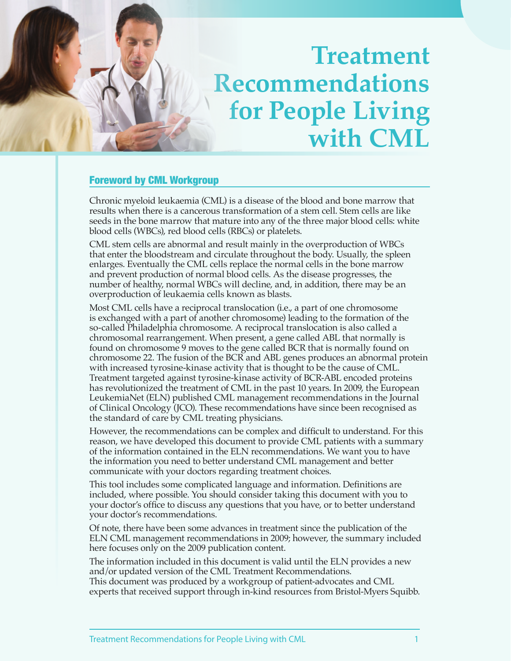# **Treatment Recommendations for People Living with CML**

# Foreword by CML Workgroup

Chronic myeloid leukaemia (CML) is a disease of the blood and bone marrow that results when there is a cancerous transformation of a stem cell. Stem cells are like seeds in the bone marrow that mature into any of the three major blood cells: white blood cells (WBCs), red blood cells (RBCs) or platelets.

CML stem cells are abnormal and result mainly in the overproduction of WBCs that enter the bloodstream and circulate throughout the body. Usually, the spleen enlarges. Eventually the CML cells replace the normal cells in the bone marrow and prevent production of normal blood cells. As the disease progresses, the number of healthy, normal WBCs will decline, and, in addition, there may be an overproduction of leukaemia cells known as blasts.

Most CML cells have a reciprocal translocation (i.e., a part of one chromosome is exchanged with a part of another chromosome) leading to the formation of the so-called Philadelphia chromosome. A reciprocal translocation is also called a chromosomal rearrangement. When present, a gene called ABL that normally is found on chromosome 9 moves to the gene called BCR that is normally found on chromosome 22. The fusion of the BCR and ABL genes produces an abnormal protein with increased tyrosine-kinase activity that is thought to be the cause of CML. Treatment targeted against tyrosine-kinase activity of BCR-ABL encoded proteins has revolutionized the treatment of CML in the past 10 years. In 2009, the European LeukemiaNet (ELN) published CML management recommendations in the Journal of Clinical Oncology (JCO). These recommendations have since been recognised as the standard of care by CML treating physicians.

However, the recommendations can be complex and difficult to understand. For this reason, we have developed this document to provide CML patients with a summary of the information contained in the ELN recommendations. We want you to have the information you need to better understand CML management and better communicate with your doctors regarding treatment choices.

This tool includes some complicated language and information. Definitions are included, where possible. You should consider taking this document with you to your doctor's office to discuss any questions that you have, or to better understand your doctor's recommendations.

Of note, there have been some advances in treatment since the publication of the ELN CML management recommendations in 2009; however, the summary included here focuses only on the 2009 publication content.

The information included in this document is valid until the ELN provides a new and/or updated version of the CML Treatment Recommendations. This document was produced by a workgroup of patient-advocates and CML

experts that received support through in-kind resources from Bristol-Myers Squibb.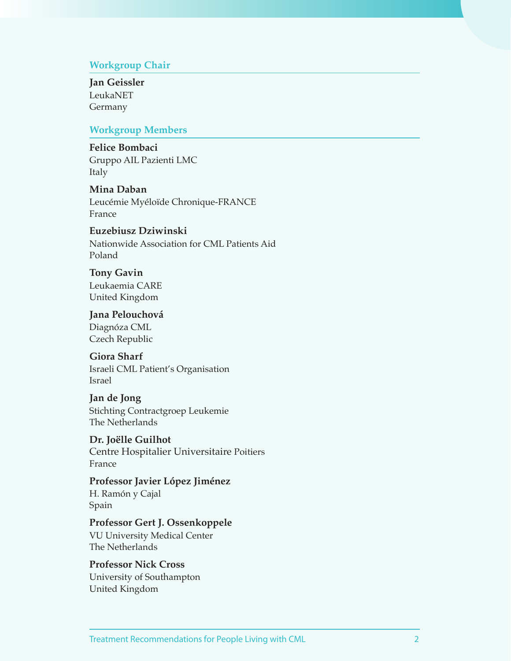## **Workgroup Chair**

**Jan Geissler** LeukaNET Germany

# **Workgroup Members**

## **Felice Bombaci**

Gruppo AIL Pazienti LMC Italy

**Mina Daban** Leucémie Myéloïde Chronique-FRANCE France

# **Euzebiusz Dziwinski**

Nationwide Association for CML Patients Aid Poland

**Tony Gavin** Leukaemia CARE United Kingdom

**Jana Pelouchová** Diagnóza CML Czech Republic

## **Giora Sharf**

Israeli CML Patient's Organisation Israel

# **Jan de Jong**

Stichting Contractgroep Leukemie The Netherlands

**Dr. Joëlle Guilhot** Centre Hospitalier Universitaire Poitiers France

**Professor Javier López Jiménez** H. Ramón y Cajal Spain

**Professor Gert J. Ossenkoppele** VU University Medical Center The Netherlands

# **Professor Nick Cross**

University of Southampton United Kingdom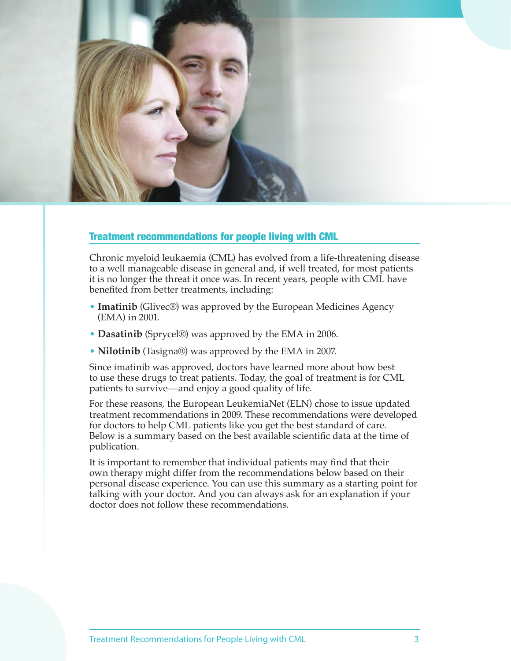

# Treatment recommendations for people living with CML

Chronic myeloid leukaemia (CML) has evolved from a life-threatening disease to a well manageable disease in general and, if well treated, for most patients it is no longer the threat it once was. In recent years, people with CML have benefited from better treatments, including:

- **Imatinib** (Glivec®) was approved by the European Medicines Agency (EMA) in 2001.
- **Dasatinib** (Sprycel®) was approved by the EMA in 2006.
- **Nilotinib** (Tasigna®) was approved by the EMA in 2007.

Since imatinib was approved, doctors have learned more about how best to use these drugs to treat patients. Today, the goal of treatment is for CML patients to survive—and enjoy a good quality of life.

For these reasons, the European LeukemiaNet (ELN) chose to issue updated treatment recommendations in 2009. These recommendations were developed for doctors to help CML patients like you get the best standard of care. Below is a summary based on the best available scientific data at the time of publication.

It is important to remember that individual patients may find that their own therapy might differ from the recommendations below based on their personal disease experience. You can use this summary as a starting point for talking with your doctor. And you can always ask for an explanation if your doctor does not follow these recommendations.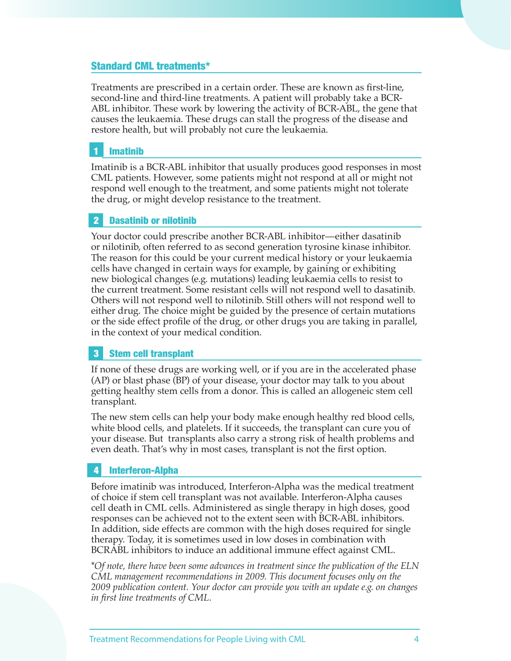## Standard CML treatments\*

Treatments are prescribed in a certain order. These are known as first-line, second-line and third-line treatments. A patient will probably take a BCR-ABL inhibitor. These work by lowering the activity of BCR-ABL, the gene that causes the leukaemia. These drugs can stall the progress of the disease and restore health, but will probably not cure the leukaemia.

# **Imatinib**

Imatinib is a BCR-ABL inhibitor that usually produces good responses in most CML patients. However, some patients might not respond at all or might not respond well enough to the treatment, and some patients might not tolerate the drug, or might develop resistance to the treatment.

# 2 Dasatinib or nilotinib

Your doctor could prescribe another BCR-ABL inhibitor—either dasatinib or nilotinib, often referred to as second generation tyrosine kinase inhibitor. The reason for this could be your current medical history or your leukaemia cells have changed in certain ways for example, by gaining or exhibiting new biological changes (e.g. mutations) leading leukaemia cells to resist to the current treatment. Some resistant cells will not respond well to dasatinib. Others will not respond well to nilotinib. Still others will not respond well to either drug. The choice might be guided by the presence of certain mutations or the side effect profile of the drug, or other drugs you are taking in parallel, in the context of your medical condition.

# 3 Stem cell transplant

If none of these drugs are working well, or if you are in the accelerated phase (AP) or blast phase (BP) of your disease, your doctor may talk to you about getting healthy stem cells from a donor. This is called an allogeneic stem cell transplant.

The new stem cells can help your body make enough healthy red blood cells, white blood cells, and platelets. If it succeeds, the transplant can cure you of your disease. But transplants also carry a strong risk of health problems and even death. That's why in most cases, transplant is not the first option.

# Interferon-Alpha

Before imatinib was introduced, Interferon-Alpha was the medical treatment of choice if stem cell transplant was not available. Interferon-Alpha causes cell death in CML cells. Administered as single therapy in high doses, good responses can be achieved not to the extent seen with BCR-ABL inhibitors. In addition, side effects are common with the high doses required for single therapy. Today, it is sometimes used in low doses in combination with BCRABL inhibitors to induce an additional immune effect against CML.

\**Of note, there have been some advances in treatment since the publication of the ELN CML management recommendations in 2009. This document focuses only on the 2009 publication content. Your doctor can provide you with an update e.g. on changes in first line treatments of CML.*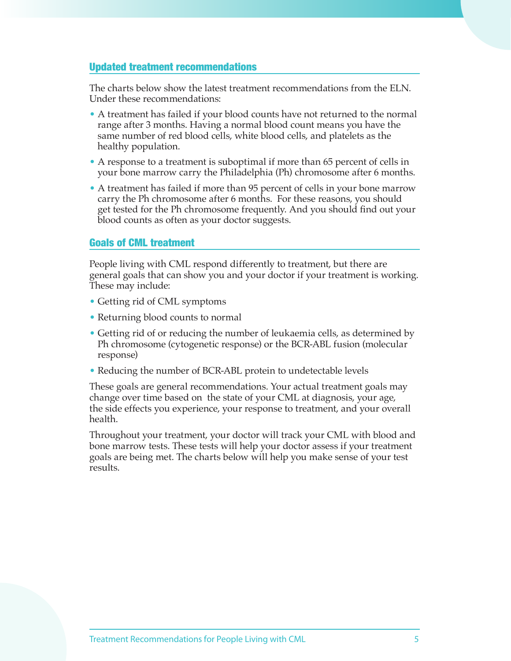## Updated treatment recommendations

The charts below show the latest treatment recommendations from the ELN. Under these recommendations:

- A treatment has failed if your blood counts have not returned to the normal range after 3 months. Having a normal blood count means you have the same number of red blood cells, white blood cells, and platelets as the healthy population.
- A response to a treatment is suboptimal if more than 65 percent of cells in your bone marrow carry the Philadelphia (Ph) chromosome after 6 months.
- A treatment has failed if more than 95 percent of cells in your bone marrow carry the Ph chromosome after 6 months. For these reasons, you should get tested for the Ph chromosome frequently. And you should find out your blood counts as often as your doctor suggests.

# Goals of CML treatment

People living with CML respond differently to treatment, but there are general goals that can show you and your doctor if your treatment is working. These may include:

- Getting rid of CML symptoms
- Returning blood counts to normal
- Getting rid of or reducing the number of leukaemia cells, as determined by Ph chromosome (cytogenetic response) or the BCR-ABL fusion (molecular response)
- Reducing the number of BCR-ABL protein to undetectable levels

These goals are general recommendations. Your actual treatment goals may change over time based on the state of your CML at diagnosis, your age, the side effects you experience, your response to treatment, and your overall health.

Throughout your treatment, your doctor will track your CML with blood and bone marrow tests. These tests will help your doctor assess if your treatment goals are being met. The charts below will help you make sense of your test results.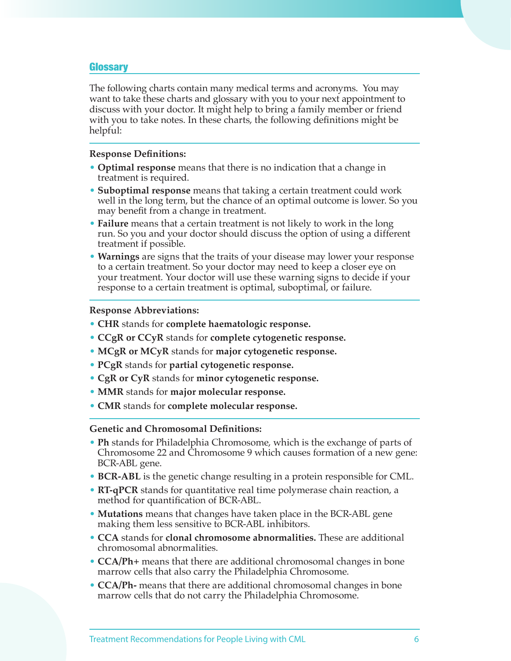# **Glossary**

The following charts contain many medical terms and acronyms. You may want to take these charts and glossary with you to your next appointment to discuss with your doctor. It might help to bring a family member or friend with you to take notes. In these charts, the following definitions might be helpful:

#### **Response Definitions:**

- **Optimal response** means that there is no indication that a change in treatment is required.
- **Suboptimal response** means that taking a certain treatment could work well in the long term, but the chance of an optimal outcome is lower. So you may benefit from a change in treatment.
- **Failure** means that a certain treatment is not likely to work in the long run. So you and your doctor should discuss the option of using a different treatment if possible.
- **Warnings** are signs that the traits of your disease may lower your response to a certain treatment. So your doctor may need to keep a closer eye on your treatment. Your doctor will use these warning signs to decide if your response to a certain treatment is optimal, suboptimal, or failure.

#### **Response Abbreviations:**

- **CHR** stands for **complete haematologic response.**
- **CCgR or CCyR** stands for **complete cytogenetic response.**
- **MCgR or MCyR** stands for **major cytogenetic response.**
- **PCgR** stands for **partial cytogenetic response.**
- **CgR or CyR** stands for **minor cytogenetic response.**
- **MMR** stands for **major molecular response.**
- **CMR** stands for **complete molecular response.**

#### **Genetic and Chromosomal Definitions:**

- **Ph** stands for Philadelphia Chromosome, which is the exchange of parts of Chromosome 22 and Chromosome 9 which causes formation of a new gene: BCR-ABL gene.
- **BCR-ABL** is the genetic change resulting in a protein responsible for CML.
- **RT-qPCR** stands for quantitative real time polymerase chain reaction, a method for quantification of BCR-ABL.
- **Mutations** means that changes have taken place in the BCR-ABL gene making them less sensitive to BCR-ABL inhibitors.
- **CCA** stands for **clonal chromosome abnormalities.** These are additional chromosomal abnormalities.
- **CCA/Ph+** means that there are additional chromosomal changes in bone marrow cells that also carry the Philadelphia Chromosome.
- **CCA/Ph-** means that there are additional chromosomal changes in bone marrow cells that do not carry the Philadelphia Chromosome.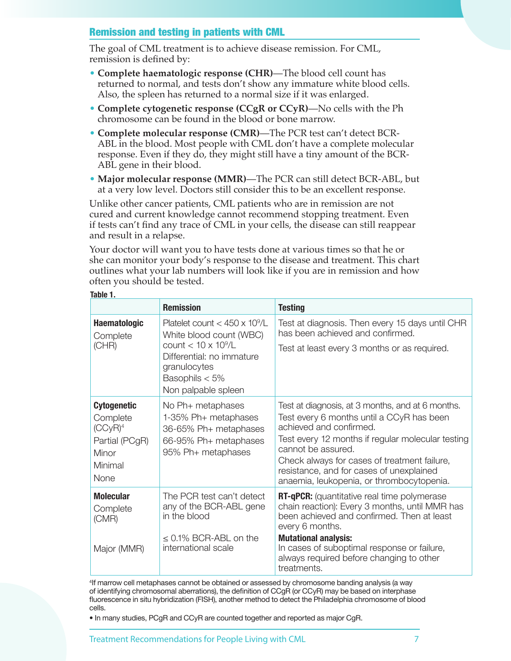# Remission and testing in patients with CML

The goal of CML treatment is to achieve disease remission. For CML, remission is defined by:

- **Complete haematologic response (CHR)**—The blood cell count has returned to normal, and tests don't show any immature white blood cells. Also, the spleen has returned to a normal size if it was enlarged.
- **Complete cytogenetic response (CCgR or CCyR)**—No cells with the Ph chromosome can be found in the blood or bone marrow.
- **Complete molecular response (CMR)**—The PCR test can't detect BCR-ABL in the blood. Most people with CML don't have a complete molecular response. Even if they do, they might still have a tiny amount of the BCR-ABL gene in their blood.
- **Major molecular response (MMR)**—The PCR can still detect BCR-ABL, but at a very low level. Doctors still consider this to be an excellent response.

Unlike other cancer patients, CML patients who are in remission are not cured and current knowledge cannot recommend stopping treatment. Even if tests can't find any trace of CML in your cells, the disease can still reappear and result in a relapse.

Your doctor will want you to have tests done at various times so that he or she can monitor your body's response to the disease and treatment. This chart outlines what your lab numbers will look like if you are in remission and how often you should be tested.

| . .<br>× |  |
|----------|--|
|----------|--|

|                                                                                            | <b>Remission</b>                                                                                                                                                                               | <b>Testing</b>                                                                                                                                                                                                                                                                                                                               |
|--------------------------------------------------------------------------------------------|------------------------------------------------------------------------------------------------------------------------------------------------------------------------------------------------|----------------------------------------------------------------------------------------------------------------------------------------------------------------------------------------------------------------------------------------------------------------------------------------------------------------------------------------------|
| <b>Haematologic</b><br>Complete<br>(CHR)                                                   | Platelet count < $450 \times 10^9$ /L<br>White blood count (WBC)<br>count $<$ 10 x 10 <sup>9</sup> /L<br>Differential: no immature<br>granulocytes<br>Basophils $< 5\%$<br>Non palpable spleen | Test at diagnosis. Then every 15 days until CHR<br>has been achieved and confirmed.<br>Test at least every 3 months or as required.                                                                                                                                                                                                          |
| <b>Cytogenetic</b><br>Complete<br>$(CCyR)^4$<br>Partial (PCgR)<br>Minor<br>Minimal<br>None | No Ph+ metaphases<br>1-35% Ph+ metaphases<br>36-65% Ph+ metaphases<br>66-95% Ph+ metaphases<br>95% Ph+ metaphases                                                                              | Test at diagnosis, at 3 months, and at 6 months.<br>Test every 6 months until a CCyR has been<br>achieved and confirmed.<br>Test every 12 months if regular molecular testing<br>cannot be assured.<br>Check always for cases of treatment failure,<br>resistance, and for cases of unexplained<br>anaemia, leukopenia, or thrombocytopenia. |
| <b>Molecular</b><br>Complete<br>(CMR)<br>Major (MMR)                                       | The PCR test can't detect<br>any of the BCR-ABL gene<br>in the blood<br>$\leq$ 0.1% BCR-ABL on the<br>international scale                                                                      | <b>RT-qPCR:</b> (quantitative real time polymerase<br>chain reaction): Every 3 months, until MMR has<br>been achieved and confirmed. Then at least<br>every 6 months.<br><b>Mutational analysis:</b><br>In cases of suboptimal response or failure,<br>always required before changing to other<br>treatments.                               |

4 If marrow cell metaphases cannot be obtained or assessed by chromosome banding analysis (a way of identifying chromosomal aberrations), the definition of CCgR (or CCyR) may be based on interphase fluorescence in situ hybridization (FISH), another method to detect the Philadelphia chromosome of blood cells.

• In many studies, PCgR and CCyR are counted together and reported as major CgR.

Treatment Recommendations for People Living with CML 7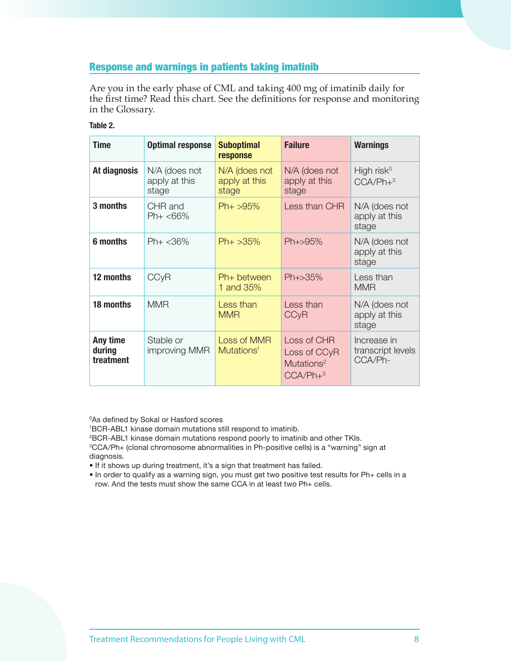# Response and warnings in patients taking imatinib

Are you in the early phase of CML and taking 400 mg of imatinib daily for the first time? Read this chart. See the definitions for response and monitoring in the Glossary.

#### **Table 2.**

| <b>Time</b>                     | <b>Optimal response</b>                 | <b>Suboptimal</b><br>response           | <b>Failure</b>                                                      | <b>Warnings</b>                                   |
|---------------------------------|-----------------------------------------|-----------------------------------------|---------------------------------------------------------------------|---------------------------------------------------|
| At diagnosis                    | N/A (does not<br>apply at this<br>stage | N/A (does not<br>apply at this<br>stage | N/A (does not<br>apply at this<br>stage                             | High risk <sup><math>0</math></sup><br>$CCA/Ph+3$ |
| 3 months                        | CHR and<br>$Ph+ < 66%$                  | $Ph+ > 95%$                             | Less than CHR                                                       | N/A (does not<br>apply at this<br>stage           |
| 6 months                        | $Ph+ < 36\%$                            | $Ph+ >35%$                              | Ph+>95%                                                             | N/A (does not<br>apply at this<br>stage           |
| 12 months                       | <b>CCyR</b>                             | Ph+ between<br>1 and 35%                | $Ph + > 35\%$                                                       | Less than<br><b>MMR</b>                           |
| 18 months                       | <b>MMR</b>                              | Less than<br><b>MMR</b>                 | Less than<br><b>CCyR</b>                                            | N/A (does not<br>apply at this<br>stage           |
| Any time<br>during<br>treatment | Stable or<br>improving MMR              | Loss of MMR<br>Mutations <sup>1</sup>   | Loss of CHR<br>Loss of CCyR<br>Mutations <sup>2</sup><br>$CCA/Ph+3$ | Increase in<br>transcript levels<br>CCA/Ph-       |

0 As defined by Sokal or Hasford scores

1 BCR-ABL1 kinase domain mutations still respond to imatinib.

2 BCR-ABL1 kinase domain mutations respond poorly to imatinib and other TKIs.

<sup>3</sup>CCA/Ph+ (clonal chromosome abnormalities in Ph-positive cells) is a "warning" sign at diagnosis.

• If it shows up during treatment, it's a sign that treatment has failed.

• In order to qualify as a warning sign, you must get two positive test results for Ph+ cells in a row. And the tests must show the same CCA in at least two Ph+ cells.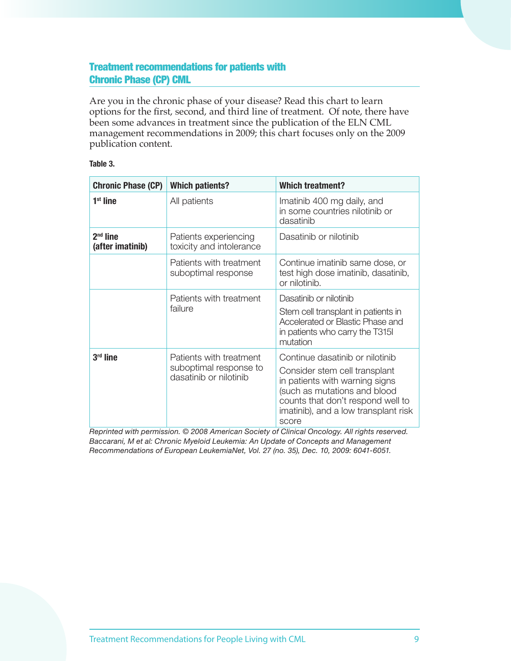# Treatment recommendations for patients with Chronic Phase (CP) CML

Are you in the chronic phase of your disease? Read this chart to learn options for the first, second, and third line of treatment. Of note, there have been some advances in treatment since the publication of the ELN CML management recommendations in 2009; this chart focuses only on the 2009 publication content.

| <b>Chronic Phase (CP)</b>      | <b>Which patients?</b>                                                      | <b>Which treatment?</b>                                                                                                                                                                                                  |
|--------------------------------|-----------------------------------------------------------------------------|--------------------------------------------------------------------------------------------------------------------------------------------------------------------------------------------------------------------------|
| $1st$ line                     | All patients                                                                | Imatinib 400 mg daily, and<br>in some countries nilotinib or<br>dasatinib                                                                                                                                                |
| $2nd$ line<br>(after imatinib) | Patients experiencing<br>toxicity and intolerance                           | Dasatinib or nilotinib                                                                                                                                                                                                   |
|                                | Patients with treatment<br>suboptimal response                              | Continue imatinib same dose, or<br>test high dose imatinib, dasatinib,<br>or nilotinib.                                                                                                                                  |
|                                | Patients with treatment<br>failure                                          | Dasatinib or nilotinib<br>Stem cell transplant in patients in<br>Accelerated or Blastic Phase and<br>in patients who carry the T315I<br>mutation                                                                         |
| $3rd$ line                     | Patients with treatment<br>suboptimal response to<br>dasatinib or nilotinib | Continue dasatinib or nilotinib<br>Consider stem cell transplant<br>in patients with warning signs<br>(such as mutations and blood<br>counts that don't respond well to<br>imatinib), and a low transplant risk<br>score |

#### **Table 3.**

*Reprinted with permission. © 2008 American Society of Clinical Oncology. All rights reserved. Baccarani, M et al: Chronic Myeloid Leukemia: An Update of Concepts and Management Recommendations of European LeukemiaNet, Vol. 27 (no. 35), Dec. 10, 2009: 6041-6051.*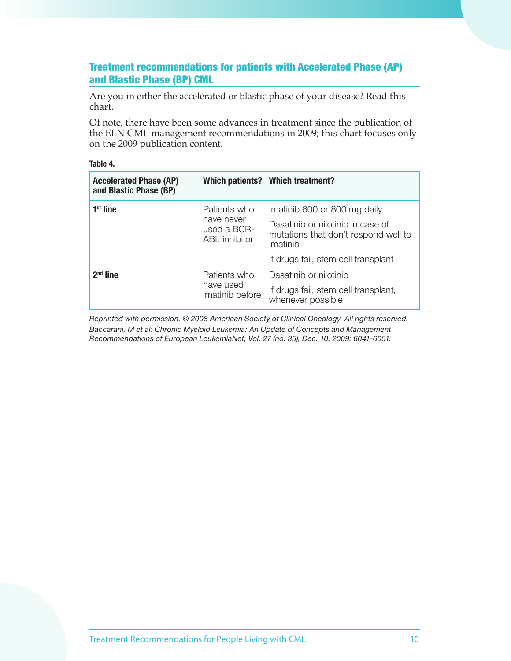# Treatment recommendations for patients with Accelerated Phase (AP) and Blastic Phase (BP) CML

Are you in either the accelerated or blastic phase of your disease? Read this chart.

Of note, there have been some advances in treatment since the publication of the ELN CML management recommendations in 2009; this chart focuses only on the 2009 publication content.

#### **Table 4.**

| <b>Accelerated Phase (AP)</b><br>and Blastic Phase (BP) | Which patients?                                            | <b>Which treatment?</b>                                                                                               |
|---------------------------------------------------------|------------------------------------------------------------|-----------------------------------------------------------------------------------------------------------------------|
| $1st$ line                                              | Patients who<br>have never<br>used a BCR-<br>ABL inhibitor | Imatinib 600 or 800 mg daily<br>Dasatinib or nilotinib in case of<br>mutations that don't respond well to<br>imatinib |
|                                                         |                                                            | If drugs fail, stem cell transplant                                                                                   |
| $2nd$ line                                              | Patients who<br>have used<br>imatinib before               | Dasatinib or nilotinib<br>If drugs fail, stem cell transplant,<br>whenever possible                                   |

*Reprinted with permission. © 2008 American Society of Clinical Oncology. All rights reserved. Baccarani, M et al: Chronic Myeloid Leukemia: An Update of Concepts and Management Recommendations of European LeukemiaNet, Vol. 27 (no. 35), Dec. 10, 2009: 6041-6051.*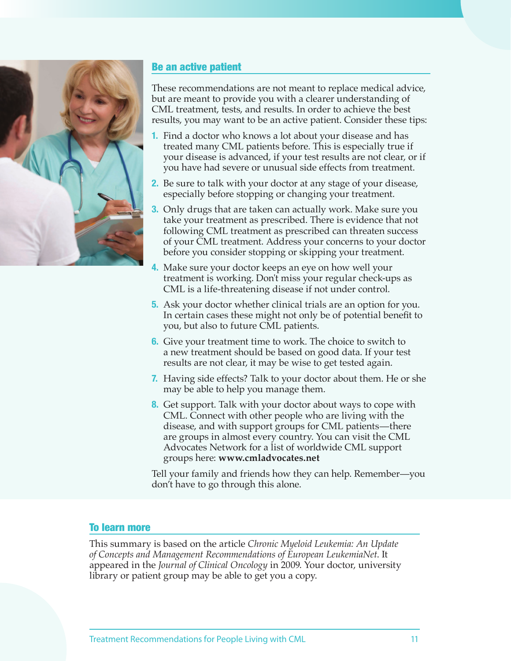

# Be an active patient

These recommendations are not meant to replace medical advice, but are meant to provide you with a clearer understanding of CML treatment, tests, and results. In order to achieve the best results, you may want to be an active patient. Consider these tips:

- **1.** Find a doctor who knows a lot about your disease and has treated many CML patients before. This is especially true if your disease is advanced, if your test results are not clear, or if you have had severe or unusual side effects from treatment.
- **2.** Be sure to talk with your doctor at any stage of your disease, especially before stopping or changing your treatment.
- **3.** Only drugs that are taken can actually work. Make sure you take your treatment as prescribed. There is evidence that not following CML treatment as prescribed can threaten success of your CML treatment. Address your concerns to your doctor before you consider stopping or skipping your treatment.
- **4.** Make sure your doctor keeps an eye on how well your treatment is working. Don't miss your regular check-ups as CML is a life-threatening disease if not under control.
- **5.** Ask your doctor whether clinical trials are an option for you. In certain cases these might not only be of potential benefit to you, but also to future CML patients.
- **6.** Give your treatment time to work. The choice to switch to a new treatment should be based on good data. If your test results are not clear, it may be wise to get tested again.
- **7.** Having side effects? Talk to your doctor about them. He or she may be able to help you manage them.
- **8.** Get support. Talk with your doctor about ways to cope with CML. Connect with other people who are living with the disease, and with support groups for CML patients—there are groups in almost every country. You can visit the CML Advocates Network for a list of worldwide CML support groups here: **www.cmladvocates.net**

Tell your family and friends how they can help. Remember—you don't have to go through this alone.

## To learn more

This summary is based on the article *Chronic Myeloid Leukemia: An Update of Concepts and Management Recommendations of European LeukemiaNet*. It appeared in the *Journal of Clinical Oncology* in 2009. Your doctor, university library or patient group may be able to get you a copy.